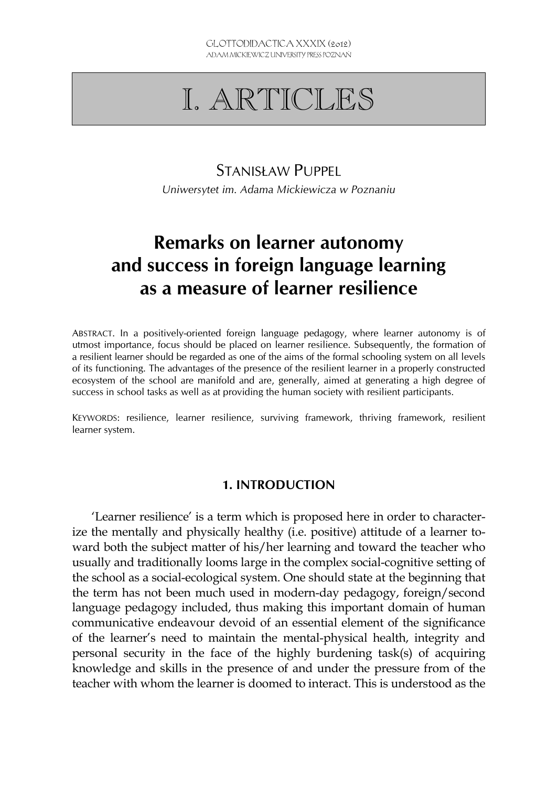# I. ARTICLES

### STANISŁAW PUPPEL

*Uniwersytet im. Adama Mickiewicza w Poznaniu* 

## **Remarks on learner autonomy and success in foreign language learning as a measure of learner resilience**

ABSTRACT. In a positively-oriented foreign language pedagogy, where learner autonomy is of utmost importance, focus should be placed on learner resilience. Subsequently, the formation of a resilient learner should be regarded as one of the aims of the formal schooling system on all levels of its functioning. The advantages of the presence of the resilient learner in a properly constructed ecosystem of the school are manifold and are, generally, aimed at generating a high degree of success in school tasks as well as at providing the human society with resilient participants.

KEYWORDS: resilience, learner resilience, surviving framework, thriving framework, resilient learner system.

#### **1. INTRODUCTION**

'Learner resilience' is a term which is proposed here in order to characterize the mentally and physically healthy (i.e. positive) attitude of a learner toward both the subject matter of his/her learning and toward the teacher who usually and traditionally looms large in the complex social-cognitive setting of the school as a social-ecological system. One should state at the beginning that the term has not been much used in modern-day pedagogy, foreign/second language pedagogy included, thus making this important domain of human communicative endeavour devoid of an essential element of the significance of the learner's need to maintain the mental-physical health, integrity and personal security in the face of the highly burdening task(s) of acquiring knowledge and skills in the presence of and under the pressure from of the teacher with whom the learner is doomed to interact. This is understood as the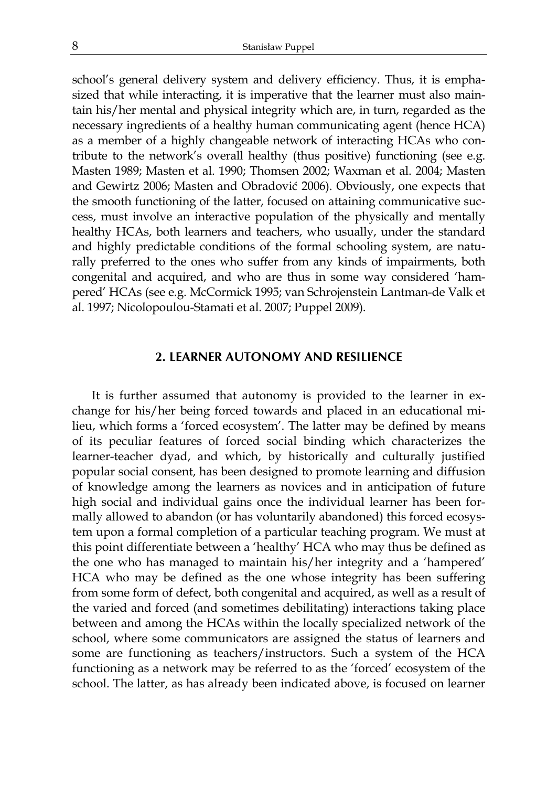school's general delivery system and delivery efficiency. Thus, it is emphasized that while interacting, it is imperative that the learner must also maintain his/her mental and physical integrity which are, in turn, regarded as the necessary ingredients of a healthy human communicating agent (hence HCA) as a member of a highly changeable network of interacting HCAs who contribute to the network's overall healthy (thus positive) functioning (see e.g. Masten 1989; Masten et al. 1990; Thomsen 2002; Waxman et al. 2004; Masten and Gewirtz 2006; Masten and Obradović 2006). Obviously, one expects that the smooth functioning of the latter, focused on attaining communicative success, must involve an interactive population of the physically and mentally healthy HCAs, both learners and teachers, who usually, under the standard and highly predictable conditions of the formal schooling system, are naturally preferred to the ones who suffer from any kinds of impairments, both congenital and acquired, and who are thus in some way considered 'hampered' HCAs (see e.g. McCormick 1995; van Schrojenstein Lantman-de Valk et al. 1997; Nicolopoulou-Stamati et al. 2007; Puppel 2009).

#### **2. LEARNER AUTONOMY AND RESILIENCE**

It is further assumed that autonomy is provided to the learner in exchange for his/her being forced towards and placed in an educational milieu, which forms a 'forced ecosystem'. The latter may be defined by means of its peculiar features of forced social binding which characterizes the learner-teacher dyad, and which, by historically and culturally justified popular social consent, has been designed to promote learning and diffusion of knowledge among the learners as novices and in anticipation of future high social and individual gains once the individual learner has been formally allowed to abandon (or has voluntarily abandoned) this forced ecosystem upon a formal completion of a particular teaching program. We must at this point differentiate between a 'healthy' HCA who may thus be defined as the one who has managed to maintain his/her integrity and a 'hampered' HCA who may be defined as the one whose integrity has been suffering from some form of defect, both congenital and acquired, as well as a result of the varied and forced (and sometimes debilitating) interactions taking place between and among the HCAs within the locally specialized network of the school, where some communicators are assigned the status of learners and some are functioning as teachers/instructors. Such a system of the HCA functioning as a network may be referred to as the 'forced' ecosystem of the school. The latter, as has already been indicated above, is focused on learner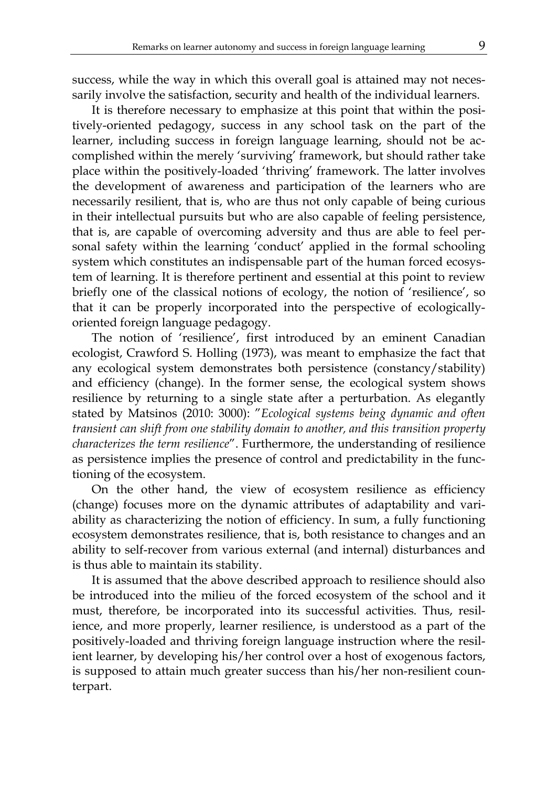success, while the way in which this overall goal is attained may not necessarily involve the satisfaction, security and health of the individual learners.

It is therefore necessary to emphasize at this point that within the positively-oriented pedagogy, success in any school task on the part of the learner, including success in foreign language learning, should not be accomplished within the merely 'surviving' framework, but should rather take place within the positively-loaded 'thriving' framework. The latter involves the development of awareness and participation of the learners who are necessarily resilient, that is, who are thus not only capable of being curious in their intellectual pursuits but who are also capable of feeling persistence, that is, are capable of overcoming adversity and thus are able to feel personal safety within the learning 'conduct' applied in the formal schooling system which constitutes an indispensable part of the human forced ecosystem of learning. It is therefore pertinent and essential at this point to review briefly one of the classical notions of ecology, the notion of 'resilience', so that it can be properly incorporated into the perspective of ecologicallyoriented foreign language pedagogy.

The notion of 'resilience', first introduced by an eminent Canadian ecologist, Crawford S. Holling (1973), was meant to emphasize the fact that any ecological system demonstrates both persistence (constancy/stability) and efficiency (change). In the former sense, the ecological system shows resilience by returning to a single state after a perturbation. As elegantly stated by Matsinos (2010: 3000): "*Ecological systems being dynamic and often transient can shift from one stability domain to another, and this transition property characterizes the term resilience*". Furthermore, the understanding of resilience as persistence implies the presence of control and predictability in the functioning of the ecosystem.

On the other hand, the view of ecosystem resilience as efficiency (change) focuses more on the dynamic attributes of adaptability and variability as characterizing the notion of efficiency. In sum, a fully functioning ecosystem demonstrates resilience, that is, both resistance to changes and an ability to self-recover from various external (and internal) disturbances and is thus able to maintain its stability.

It is assumed that the above described approach to resilience should also be introduced into the milieu of the forced ecosystem of the school and it must, therefore, be incorporated into its successful activities. Thus, resilience, and more properly, learner resilience, is understood as a part of the positively-loaded and thriving foreign language instruction where the resilient learner, by developing his/her control over a host of exogenous factors, is supposed to attain much greater success than his/her non-resilient counterpart.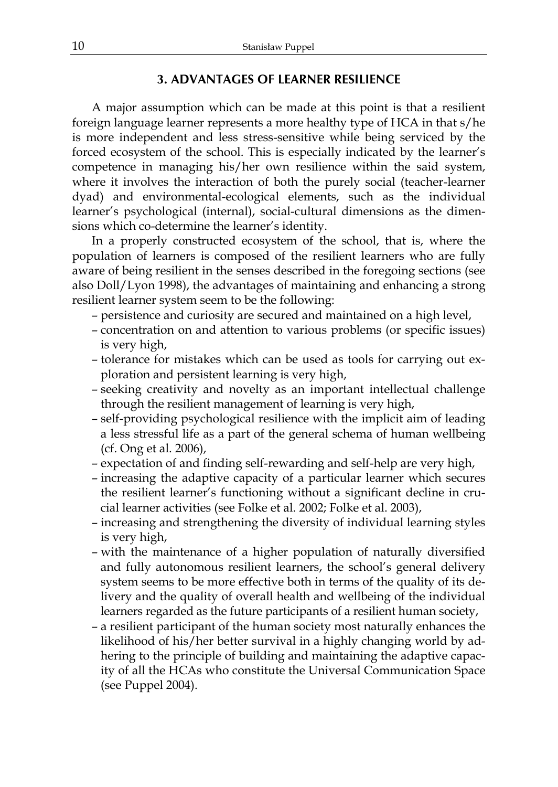#### **3. ADVANTAGES OF LEARNER RESILIENCE**

A major assumption which can be made at this point is that a resilient foreign language learner represents a more healthy type of HCA in that s/he is more independent and less stress-sensitive while being serviced by the forced ecosystem of the school. This is especially indicated by the learner's competence in managing his/her own resilience within the said system, where it involves the interaction of both the purely social (teacher-learner dyad) and environmental-ecological elements, such as the individual learner's psychological (internal), social-cultural dimensions as the dimensions which co-determine the learner's identity.

In a properly constructed ecosystem of the school, that is, where the population of learners is composed of the resilient learners who are fully aware of being resilient in the senses described in the foregoing sections (see also Doll/Lyon 1998), the advantages of maintaining and enhancing a strong resilient learner system seem to be the following:

- persistence and curiosity are secured and maintained on a high level,
- concentration on and attention to various problems (or specific issues) is very high,
- tolerance for mistakes which can be used as tools for carrying out exploration and persistent learning is very high,
- seeking creativity and novelty as an important intellectual challenge through the resilient management of learning is very high,
- self-providing psychological resilience with the implicit aim of leading a less stressful life as a part of the general schema of human wellbeing (cf. Ong et al. 2006),
- expectation of and finding self-rewarding and self-help are very high,
- increasing the adaptive capacity of a particular learner which secures the resilient learner's functioning without a significant decline in crucial learner activities (see Folke et al. 2002; Folke et al. 2003),
- increasing and strengthening the diversity of individual learning styles is very high,
- with the maintenance of a higher population of naturally diversified and fully autonomous resilient learners, the school's general delivery system seems to be more effective both in terms of the quality of its delivery and the quality of overall health and wellbeing of the individual learners regarded as the future participants of a resilient human society,
- a resilient participant of the human society most naturally enhances the likelihood of his/her better survival in a highly changing world by adhering to the principle of building and maintaining the adaptive capacity of all the HCAs who constitute the Universal Communication Space (see Puppel 2004).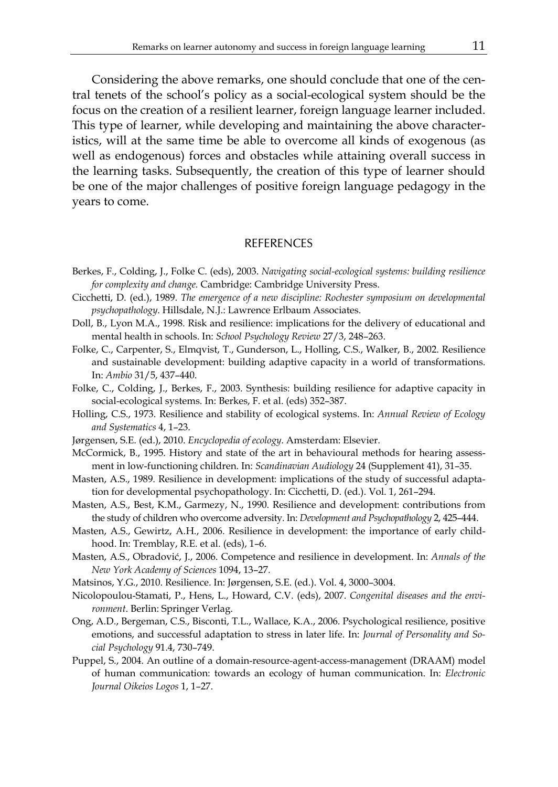Considering the above remarks, one should conclude that one of the central tenets of the school's policy as a social-ecological system should be the focus on the creation of a resilient learner, foreign language learner included. This type of learner, while developing and maintaining the above characteristics, will at the same time be able to overcome all kinds of exogenous (as well as endogenous) forces and obstacles while attaining overall success in the learning tasks. Subsequently, the creation of this type of learner should be one of the major challenges of positive foreign language pedagogy in the years to come.

#### **REFERENCES**

- Berkes, F., Colding, J., Folke C. (eds), 2003. *Navigating social-ecological systems: building resilience for complexity and change.* Cambridge: Cambridge University Press.
- Cicchetti, D. (ed.), 1989. *The emergence of a new discipline: Rochester symposium on developmental psychopathology*. Hillsdale, N.J.: Lawrence Erlbaum Associates.
- Doll, B., Lyon M.A., 1998. Risk and resilience: implications for the delivery of educational and mental health in schools. In: *School Psychology Review* 27/3, 248–263.
- Folke, C., Carpenter, S., Elmqvist, T., Gunderson, L., Holling, C.S., Walker, B., 2002. Resilience and sustainable development: building adaptive capacity in a world of transformations. In: *Ambio* 31/5, 437–440.
- Folke, C., Colding, J., Berkes, F., 2003. Synthesis: building resilience for adaptive capacity in social-ecological systems. In: Berkes, F. et al. (eds) 352–387.
- Holling, C.S., 1973. Resilience and stability of ecological systems. In: *Annual Review of Ecology and Systematics* 4, 1–23.
- Jørgensen, S.E. (ed.), 2010. *Encyclopedia of ecology*. Amsterdam: Elsevier.
- McCormick, B., 1995. History and state of the art in behavioural methods for hearing assessment in low-functioning children. In: *Scandinavian Audiology* 24 (Supplement 41), 31–35.
- Masten, A.S., 1989. Resilience in development: implications of the study of successful adaptation for developmental psychopathology. In: Cicchetti, D. (ed.). Vol. 1, 261–294.
- Masten, A.S., Best, K.M., Garmezy, N., 1990. Resilience and development: contributions from the study of children who overcome adversity. In: *Development and Psychopathology* 2, 425–444.
- Masten, A.S., Gewirtz, A.H., 2006. Resilience in development: the importance of early childhood. In: Tremblay, R.E. et al. (eds), 1–6.
- Masten, A.S., Obradović, J., 2006. Competence and resilience in development. In: *Annals of the New York Academy of Sciences* 1094, 13–27.
- Matsinos, Y.G., 2010. Resilience. In: Jørgensen, S.E. (ed.). Vol. 4, 3000–3004.
- Nicolopoulou-Stamati, P., Hens, L., Howard, C.V. (eds), 2007. *Congenital diseases and the environment*. Berlin: Springer Verlag.
- Ong, A.D., Bergeman, C.S., Bisconti, T.L., Wallace, K.A., 2006. Psychological resilience, positive emotions, and successful adaptation to stress in later life. In: *Journal of Personality and Social Psychology* 91.4, 730–749.
- Puppel, S., 2004. An outline of a domain-resource-agent-access-management (DRAAM) model of human communication: towards an ecology of human communication. In: *Electronic Journal Oikeios Logos* 1, 1–27.